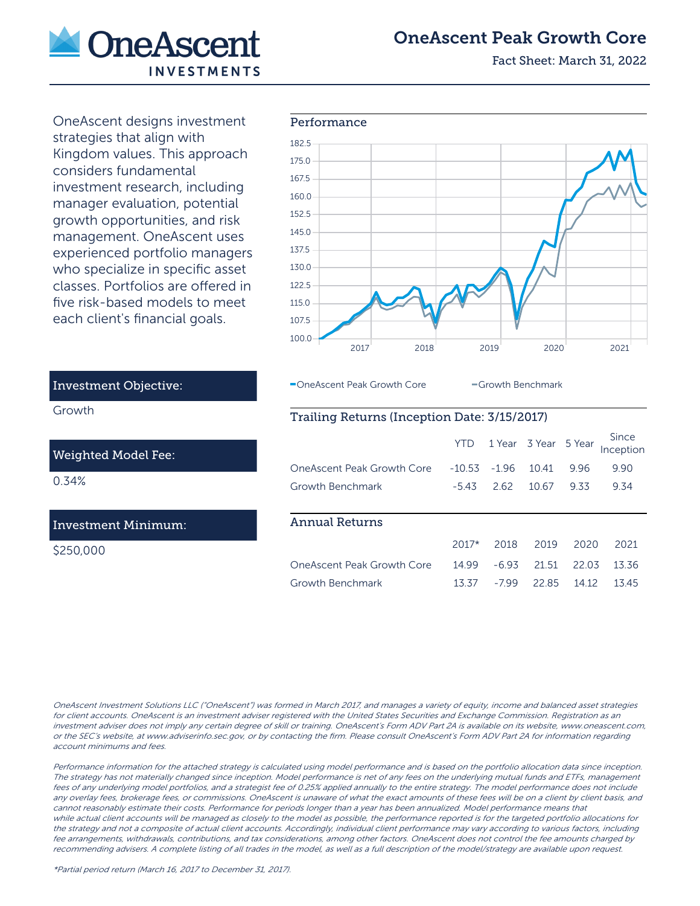

# OneAscent Peak Growth Core

Fact Sheet: March 31, 2022

OneAscent designs investment strategies that align with Kingdom values. This approach considers fundamental investment research, including manager evaluation, potential growth opportunities, and risk management. OneAscent uses experienced portfolio managers who specialize in specific asset classes. Portfolios are offered in five risk-based models to meet each client's financial goals.



#### OneAscent Peak Growth Core **Growth Benchmark**

## Trailing Returns (Inception Date: 3/15/2017)

|                            | YTD.     |         | 1 Year 3 Year 5 Year |       | Since<br>Inception |
|----------------------------|----------|---------|----------------------|-------|--------------------|
| OneAscent Peak Growth Core | $-10.53$ | $-1.96$ | 10.41                | 9.96  | 9.90               |
| Growth Benchmark           | $-543$   | 2.62    | 10.67                | 9.33  | 9.34               |
|                            |          |         |                      |       |                    |
| <b>Annual Returns</b>      |          |         |                      |       |                    |
|                            | $2017*$  | 2018    | 2019                 | 2020  | 2021               |
| OneAscent Peak Growth Core | 14 9 9   | $-693$  | 21.51                | 22.03 | 13.36              |
| Growth Benchmark           | 13.37    | -799    | 2285                 | 14 12 | 1345               |

OneAscent Investment Solutions LLC ("OneAscent") was formed in March 2017, and manages a variety of equity, income and balanced asset strategies for client accounts. OneAscent is an investment adviser registered with the United States Securities and Exchange Commission. Registration as an investment adviser does not imply any certain degree of skill or training. OneAscent's Form ADV Part 2A is available on its website, www.oneascent.com, or the SEC's website, at www.adviserinfo.sec.gov, or by contacting the firm. Please consult OneAscent's Form ADV Part 2A for information regarding account minimums and fees.

Performance information for the attached strategy is calculated using model performance and is based on the portfolio allocation data since inception. The strategy has not materially changed since inception. Model performance is net of any fees on the underlying mutual funds and ETFs, management fees of any underlying model portfolios, and a strategist fee of 0.25% applied annually to the entire strategy. The model performance does not include any overlay fees, brokerage fees, or commissions. OneAscent is unaware of what the exact amounts of these fees will be on a client by client basis, and cannot reasonably estimate their costs. Performance for periods longer than a year has been annualized. Model performance means that while actual client accounts will be managed as closely to the model as possible, the performance reported is for the targeted portfolio allocations for the strategy and not a composite of actual client accounts. Accordingly, individual client performance may vary according to various factors, including fee arrangements, withdrawals, contributions, and tax considerations, among other factors. OneAscent does not control the fee amounts charged by recommending advisers. A complete listing of all trades in the model, as well as a full description of the model/strategy are available upon request.

## Growth

Investment Objective:

#### Weighted Model Fee:

0.34%

#### Investment Minimum:

\$250,000